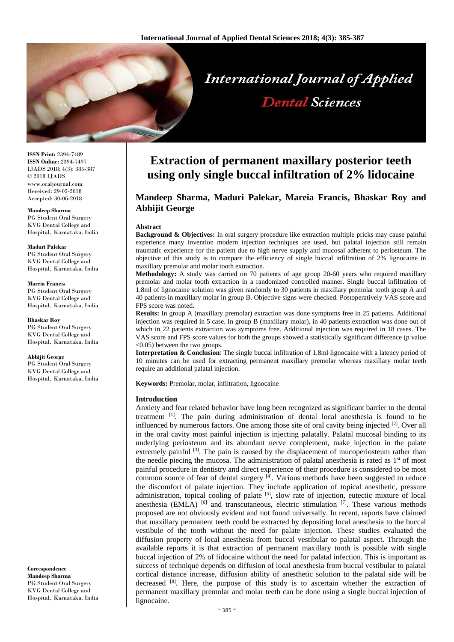

**ISSN Print:** 2394-7489 **ISSN Online:** 2394-7497 IJADS 2018; 4(3): 385-387 © 2018 IJADS www.oraljournal.com Received: 29-05-2018 Accepted: 30-06-2018

#### **Mandeep Sharma**

PG Student Oral Surgery KVG Dental College and Hospital, Karnataka, India

#### **Maduri Palekar**

PG Student Oral Surgery KVG Dental College and Hospital, Karnataka, India

# **Mareia Francis**

PG Student Oral Surgery KVG Dental College and Hospital, Karnataka, India

**Bhaskar Roy** PG Student Oral Surgery KVG Dental College and Hospital, Karnataka, India

**Abhijit George** PG Student Oral Surgery KVG Dental College and Hospital, Karnataka, India

**Correspondence Mandeep Sharma** PG Student Oral Surgery KVG Dental College and Hospital, Karnataka, India

# **Extraction of permanent maxillary posterior teeth using only single buccal infiltration of 2% lidocaine**

# **Mandeep Sharma, Maduri Palekar, Mareia Francis, Bhaskar Roy and Abhijit George**

#### **Abstract**

**Background & Objectives:** In oral surgery procedure like extraction multiple pricks may cause painful experience many invention modern injection techniques are used, but palatal injection still remain traumatic experience for the patient due to high nerve supply and mucosal adherent to periosteum. The objective of this study is to compare the efficiency of single buccal infiltration of 2% lignocaine in maxillary premolar and molar tooth extraction.

**Methodology:** A study was carried on 70 patients of age group 20-60 years who required maxillary premolar and molar tooth extraction in a randomized controlled manner. Single buccal infiltration of 1.8ml of lignocaine solution was given randomly to 30 patients in maxillary premolar tooth group A and 40 patients in maxillary molar in group B. Objective signs were checked. Postoperatively VAS score and FPS score was noted.

**Results:** In group A (maxillary premolar) extraction was done symptoms free in 25 patients. Additional injection was required in 5 case. In group B (maxillary molar), in 40 patients extraction was done out of which in 22 patients extraction was symptoms free. Additional injection was required in 18 cases. The VAS score and FPS score values for both the groups showed a statistically significant difference (p value <0.05) between the two groups.

**Interpretation & Conclusion**: The single buccal infiltration of 1.8ml lignocaine with a latency period of 10 minutes can be used for extracting permanent maxillary premolar whereas maxillary molar teeth require an additional palatal injection.

**Keywords:** Premolar, molar, infiltration, lignocaine

#### **Introduction**

Anxiety and fear related behavior have long been recognized as significant barrier to the dental treatment [1] . The pain during administration of dental local anesthesia is found to be influenced by numerous factors. One among those site of oral cavity being injected <sup>[2]</sup>. Over all in the oral cavity most painful injection is injecting palatally. Palatal mucosal binding to its underlying periosteum and its abundant nerve complement, make injection in the palate extremely painful <sup>[3]</sup>. The pain is caused by the displacement of mucoperiosteum rather than the needle piecing the mucosa. The administration of palatal anesthesia is rated as  $1<sup>st</sup>$  of most painful procedure in dentistry and direct experience of their procedure is considered to be most common source of fear of dental surgery [4]. Various methods have been suggested to reduce the discomfort of palate injection. They include application of topical anesthetic, pressure administration, topical cooling of palate  $[5]$ , slow rate of injection, eutectic mixture of local anesthesia (EMLA)  $[6]$  and transcutaneous, electric stimulation  $[7]$ . These various methods proposed are not obviously evident and not found universally. In recent, reports have claimed that maxillary permanent teeth could be extracted by depositing local anesthesia to the buccal vestibule of the tooth without the need for palate injection. These studies evaluated the diffusion property of local anesthesia from buccal vestibular to palatal aspect. Through the available reports it is that extraction of permanent maxillary tooth is possible with single buccal injection of 2% of lidocaine without the need for palatal infection. This is important as success of technique depends on diffusion of local anesthesia from buccal vestibular to palatal cortical distance increase, diffusion ability of anesthetic solution to the palatal side will be decreased [8]. Here, the purpose of this study is to ascertain whether the extraction of permanent maxillary premolar and molar teeth can be done using a single buccal injection of lignocaine.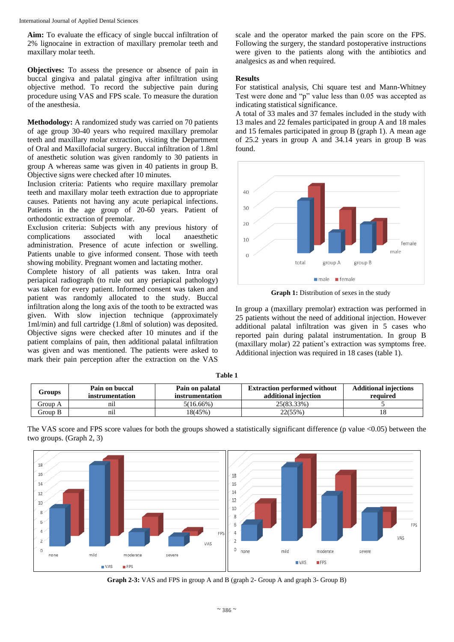**Aim:** To evaluate the efficacy of single buccal infiltration of 2% lignocaine in extraction of maxillary premolar teeth and maxillary molar teeth.

**Objectives:** To assess the presence or absence of pain in buccal gingiva and palatal gingiva after infiltration using objective method. To record the subjective pain during procedure using VAS and FPS scale. To measure the duration of the anesthesia.

**Methodology:** A randomized study was carried on 70 patients of age group 30-40 years who required maxillary premolar teeth and maxillary molar extraction, visiting the Department of Oral and Maxillofacial surgery. Buccal infiltration of 1.8ml of anesthetic solution was given randomly to 30 patients in group A whereas same was given in 40 patients in group B. Objective signs were checked after 10 minutes.

Inclusion criteria: Patients who require maxillary premolar teeth and maxillary molar teeth extraction due to appropriate causes. Patients not having any acute periapical infections. Patients in the age group of 20-60 years. Patient of orthodontic extraction of premolar.

Exclusion criteria: Subjects with any previous history of complications associated with local anaesthetic administration. Presence of acute infection or swelling. Patients unable to give informed consent. Those with teeth showing mobility. Pregnant women and lactating mother.

Complete history of all patients was taken. Intra oral periapical radiograph (to rule out any periapical pathology) was taken for every patient. Informed consent was taken and patient was randomly allocated to the study. Buccal infiltration along the long axis of the tooth to be extracted was given. With slow injection technique (approximately 1ml/min) and full cartridge (1.8ml of solution) was deposited. Objective signs were checked after 10 minutes and if the patient complains of pain, then additional palatal infiltration was given and was mentioned. The patients were asked to mark their pain perception after the extraction on the VAS

scale and the operator marked the pain score on the FPS. Following the surgery, the standard postoperative instructions were given to the patients along with the antibiotics and analgesics as and when required.

## **Results**

For statistical analysis, Chi square test and Mann-Whitney Test were done and "p" value less than 0.05 was accepted as indicating statistical significance.

A total of 33 males and 37 females included in the study with 13 males and 22 females participated in group A and 18 males and 15 females participated in group B (graph 1). A mean age of 25.2 years in group A and 34.14 years in group B was found.



**Graph 1:** Distribution of sexes in the study

In group a (maxillary premolar) extraction was performed in 25 patients without the need of additional injection. However additional palatal infiltration was given in 5 cases who reported pain during palatal instrumentation. In group B (maxillary molar) 22 patient's extraction was symptoms free. Additional injection was required in 18 cases (table 1).

| `able |  |
|-------|--|
|-------|--|

| Groups  | Pain on buccal<br>instrumentation | Pain on palatal<br>instrumentation | <b>Extraction performed without</b><br>additional injection | <b>Additional injections</b><br>required |
|---------|-----------------------------------|------------------------------------|-------------------------------------------------------------|------------------------------------------|
| Group A | $n_{11}$                          | 5(16.66%)                          | 25(83.33%)                                                  |                                          |
| Group B | n11                               | 18(45%)                            | 22(55%)                                                     |                                          |





**Graph 2-3:** VAS and FPS in group A and B (graph 2- Group A and graph 3- Group B)